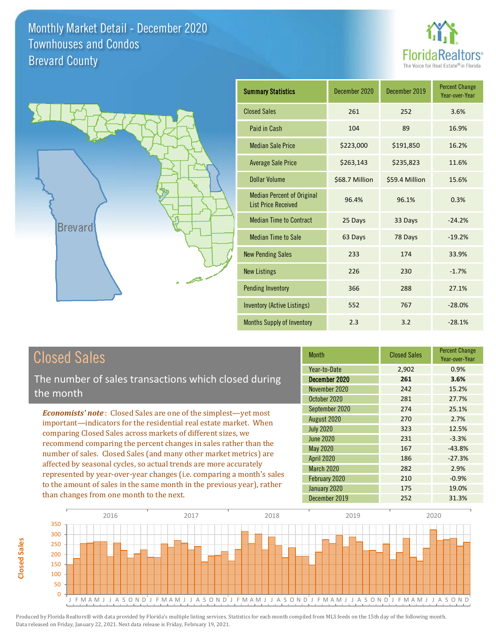



| <b>Summary Statistics</b>                                       | December 2020  | December 2019  | <b>Percent Change</b><br>Year-over-Year |
|-----------------------------------------------------------------|----------------|----------------|-----------------------------------------|
| <b>Closed Sales</b>                                             | 261            | 252            | 3.6%                                    |
| Paid in Cash                                                    | 104            | 89             | 16.9%                                   |
| <b>Median Sale Price</b>                                        | \$223,000      | \$191,850      | 16.2%                                   |
| <b>Average Sale Price</b>                                       | \$263,143      | \$235,823      | 11.6%                                   |
| <b>Dollar Volume</b>                                            | \$68.7 Million | \$59.4 Million | 15.6%                                   |
| <b>Median Percent of Original</b><br><b>List Price Received</b> | 96.4%          | 96.1%          | 0.3%                                    |
| <b>Median Time to Contract</b>                                  | 25 Days        | 33 Days        | $-24.2%$                                |
| <b>Median Time to Sale</b>                                      | 63 Days        | 78 Days        | $-19.2%$                                |
| <b>New Pending Sales</b>                                        | 233            | 174            | 33.9%                                   |
| <b>New Listings</b>                                             | 226            | 230            | $-1.7%$                                 |
| <b>Pending Inventory</b>                                        | 366            | 288            | 27.1%                                   |
| Inventory (Active Listings)                                     | 552            | 767            | $-28.0%$                                |
| Months Supply of Inventory                                      | 2.3            | 3.2            | $-28.1%$                                |

# Closed Sales

The number of sales transactions which closed during the month

*Economists' note* : Closed Sales are one of the simplest—yet most important—indicators for the residential real estate market. When comparing Closed Sales across markets of different sizes, we recommend comparing the percent changes in sales rather than the number of sales. Closed Sales (and many other market metrics) are affected by seasonal cycles, so actual trends are more accurately represented by year-over-year changes (i.e. comparing a month's sales to the amount of sales in the same month in the previous year), rather than changes from one month to the next.

| <b>Month</b>      | <b>Closed Sales</b> | <b>Percent Change</b><br>Year-over-Year |
|-------------------|---------------------|-----------------------------------------|
| Year-to-Date      | 2,902               | 0.9%                                    |
| December 2020     | 261                 | 3.6%                                    |
| November 2020     | 242                 | 15.2%                                   |
| October 2020      | 281                 | 27.7%                                   |
| September 2020    | 274                 | 25.1%                                   |
| August 2020       | 270                 | 2.7%                                    |
| <b>July 2020</b>  | 323                 | 12.5%                                   |
| June 2020         | 231                 | $-3.3%$                                 |
| <b>May 2020</b>   | 167                 | $-43.8%$                                |
| <b>April 2020</b> | 186                 | $-27.3%$                                |
| March 2020        | 282                 | 2.9%                                    |
| February 2020     | 210                 | $-0.9%$                                 |
| January 2020      | 175                 | 19.0%                                   |
| December 2019     | 252                 | 31.3%                                   |

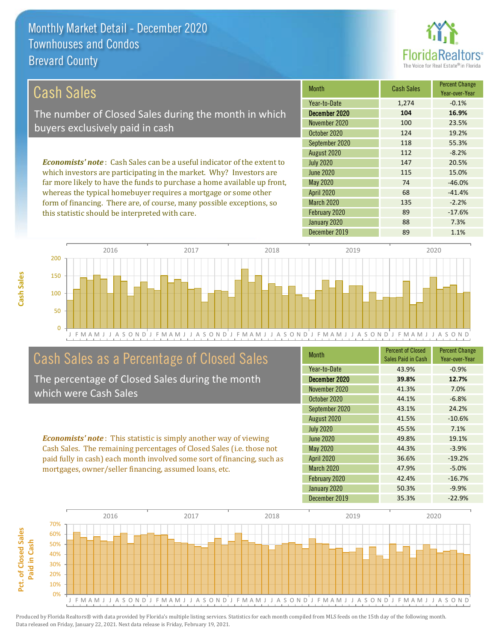this statistic should be interpreted with care.



89 -17.6%

#### September 2020 Month Cash Sales Percent Change Year-over-Year December 2020 **104 16.9%** November 2020 100 100 23.5% October 2020 124 124 19.2% Year-to-Date 1,274 -0.1% 135 -2.2% 118 55.3% August 2020 112 -8.2% May 2020 74 -46.0% July 2020 **147** 20.5% June 2020 **115** 15.0% *Economists' note* : Cash Sales can be a useful indicator of the extent to which investors are participating in the market. Why? Investors are far more likely to have the funds to purchase a home available up front, whereas the typical homebuyer requires a mortgage or some other form of financing. There are, of course, many possible exceptions, so April 2020 68 -41.4% March 2020 Cash Sales The number of Closed Sales during the month in which buyers exclusively paid in cash

February 2020



# Cash Sales as a Percentage of Closed Sales

The percentage of Closed Sales during the month which were Cash Sales

*Economists' note* : This statistic is simply another way of viewing Cash Sales. The remaining percentages of Closed Sales (i.e. those not paid fully in cash) each month involved some sort of financing, such as mortgages, owner/seller financing, assumed loans, etc.

| <b>Month</b>      | <b>Percent of Closed</b><br>Sales Paid in Cash | <b>Percent Change</b><br>Year-over-Year |
|-------------------|------------------------------------------------|-----------------------------------------|
| Year-to-Date      | 43.9%                                          | $-0.9%$                                 |
| December 2020     | 39.8%                                          | 12.7%                                   |
| November 2020     | 41.3%                                          | 7.0%                                    |
| October 2020      | 44.1%                                          | $-6.8%$                                 |
| September 2020    | 43.1%                                          | 24.2%                                   |
| August 2020       | 41.5%                                          | $-10.6%$                                |
| <b>July 2020</b>  | 45.5%                                          | 7.1%                                    |
| <b>June 2020</b>  | 49.8%                                          | 19.1%                                   |
| <b>May 2020</b>   | 44.3%                                          | $-3.9%$                                 |
| <b>April 2020</b> | 36.6%                                          | $-19.2%$                                |
| March 2020        | 47.9%                                          | $-5.0%$                                 |
| February 2020     | 42.4%                                          | $-16.7%$                                |
| January 2020      | 50.3%                                          | $-9.9%$                                 |
| December 2019     | 35.3%                                          | $-22.9%$                                |

January 2020 88 7.3%

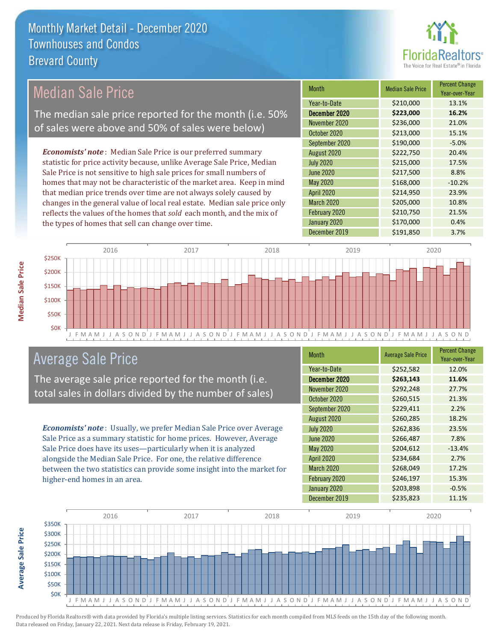

## Median Sale Price

The median sale price reported for the month (i.e. 50% of sales were above and 50% of sales were below)

*Economists' note* : Median Sale Price is our preferred summary statistic for price activity because, unlike Average Sale Price, Median Sale Price is not sensitive to high sale prices for small numbers of homes that may not be characteristic of the market area. Keep in mind that median price trends over time are not always solely caused by changes in the general value of local real estate. Median sale price only reflects the values of the homes that *sold* each month, and the mix of the types of homes that sell can change over time.

| <b>Month</b>      | <b>Median Sale Price</b> | <b>Percent Change</b><br>Year-over-Year |
|-------------------|--------------------------|-----------------------------------------|
| Year-to-Date      | \$210,000                | 13.1%                                   |
| December 2020     | \$223,000                | 16.2%                                   |
| November 2020     | \$236,000                | 21.0%                                   |
| October 2020      | \$213,000                | 15.1%                                   |
| September 2020    | \$190,000                | $-5.0%$                                 |
| August 2020       | \$222,750                | 20.4%                                   |
| <b>July 2020</b>  | \$215,000                | 17.5%                                   |
| <b>June 2020</b>  | \$217,500                | 8.8%                                    |
| May 2020          | \$168,000                | $-10.2%$                                |
| <b>April 2020</b> | \$214,950                | 23.9%                                   |
| March 2020        | \$205,000                | 10.8%                                   |
| February 2020     | \$210,750                | 21.5%                                   |
| January 2020      | \$170,000                | 0.4%                                    |
| December 2019     | \$191,850                | 3.7%                                    |



## Average Sale Price

The average sale price reported for the month (i.e. total sales in dollars divided by the number of sales)

*Economists' note* : Usually, we prefer Median Sale Price over Average Sale Price as a summary statistic for home prices. However, Average Sale Price does have its uses—particularly when it is analyzed alongside the Median Sale Price. For one, the relative difference between the two statistics can provide some insight into the market for higher-end homes in an area.

| <b>Month</b>      | <b>Average Sale Price</b> | <b>Percent Change</b><br>Year-over-Year |
|-------------------|---------------------------|-----------------------------------------|
| Year-to-Date      | \$252,582                 | 12.0%                                   |
| December 2020     | \$263,143                 | 11.6%                                   |
| November 2020     | \$292,248                 | 27.7%                                   |
| October 2020      | \$260,515                 | 21.3%                                   |
| September 2020    | \$229,411                 | 2.2%                                    |
| August 2020       | \$260,285                 | 18.2%                                   |
| <b>July 2020</b>  | \$262,836                 | 23.5%                                   |
| <b>June 2020</b>  | \$266,487                 | 7.8%                                    |
| May 2020          | \$204,612                 | $-13.4%$                                |
| <b>April 2020</b> | \$234,684                 | 2.7%                                    |
| March 2020        | \$268,049                 | 17.2%                                   |
| February 2020     | \$246,197                 | 15.3%                                   |
| January 2020      | \$203,898                 | $-0.5%$                                 |
| December 2019     | \$235,823                 | 11.1%                                   |



**Median Sale Price**

**Median Sale Price**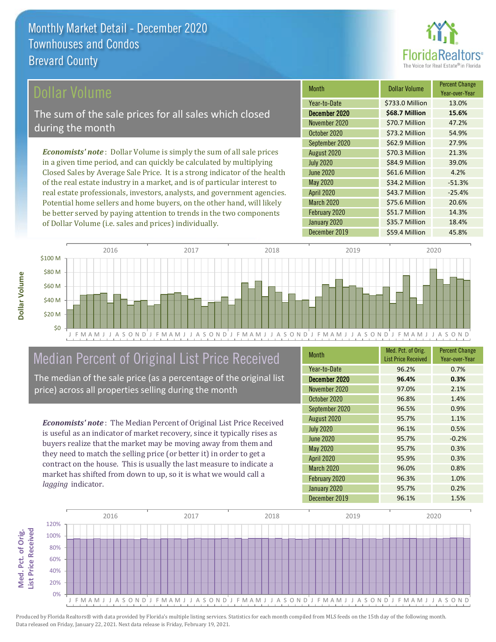

## ollar Volume

The sum of the sale prices for all sales which closed during the month

*Economists' note* : Dollar Volume is simply the sum of all sale prices in a given time period, and can quickly be calculated by multiplying Closed Sales by Average Sale Price. It is a strong indicator of the health of the real estate industry in a market, and is of particular interest to real estate professionals, investors, analysts, and government agencies. Potential home sellers and home buyers, on the other hand, will likely be better served by paying attention to trends in the two components of Dollar Volume (i.e. sales and prices) individually.

| <b>Month</b>      | <b>Dollar Volume</b> | <b>Percent Change</b><br>Year-over-Year |
|-------------------|----------------------|-----------------------------------------|
| Year-to-Date      | \$733.0 Million      | 13.0%                                   |
| December 2020     | \$68.7 Million       | 15.6%                                   |
| November 2020     | \$70.7 Million       | 47.2%                                   |
| October 2020      | \$73.2 Million       | 54.9%                                   |
| September 2020    | \$62.9 Million       | 27.9%                                   |
| August 2020       | \$70.3 Million       | 21.3%                                   |
| <b>July 2020</b>  | \$84.9 Million       | 39.0%                                   |
| <b>June 2020</b>  | \$61.6 Million       | 4.2%                                    |
| May 2020          | \$34.2 Million       | $-51.3%$                                |
| <b>April 2020</b> | \$43.7 Million       | $-25.4%$                                |
| March 2020        | \$75.6 Million       | 20.6%                                   |
| February 2020     | \$51.7 Million       | 14.3%                                   |
| January 2020      | \$35.7 Million       | 18.4%                                   |
| December 2019     | \$59.4 Million       | 45.8%                                   |



# Median Percent of Original List Price Received

The median of the sale price (as a percentage of the original list price) across all properties selling during the month

*Economists' note* : The Median Percent of Original List Price Received is useful as an indicator of market recovery, since it typically rises as buyers realize that the market may be moving away from them and they need to match the selling price (or better it) in order to get a contract on the house. This is usually the last measure to indicate a market has shifted from down to up, so it is what we would call a *lagging* indicator.

| Month             | Med. Pct. of Orig.<br><b>List Price Received</b> | <b>Percent Change</b><br>Year-over-Year |
|-------------------|--------------------------------------------------|-----------------------------------------|
| Year-to-Date      | 96.2%                                            | 0.7%                                    |
| December 2020     | 96.4%                                            | 0.3%                                    |
| November 2020     | 97.0%                                            | 2.1%                                    |
| October 2020      | 96.8%                                            | 1.4%                                    |
| September 2020    | 96.5%                                            | 0.9%                                    |
| August 2020       | 95.7%                                            | 1.1%                                    |
| <b>July 2020</b>  | 96.1%                                            | 0.5%                                    |
| <b>June 2020</b>  | 95.7%                                            | $-0.2%$                                 |
| <b>May 2020</b>   | 95.7%                                            | 0.3%                                    |
| <b>April 2020</b> | 95.9%                                            | 0.3%                                    |
| <b>March 2020</b> | 96.0%                                            | 0.8%                                    |
| February 2020     | 96.3%                                            | 1.0%                                    |
| January 2020      | 95.7%                                            | 0.2%                                    |
| December 2019     | 96.1%                                            | 1.5%                                    |

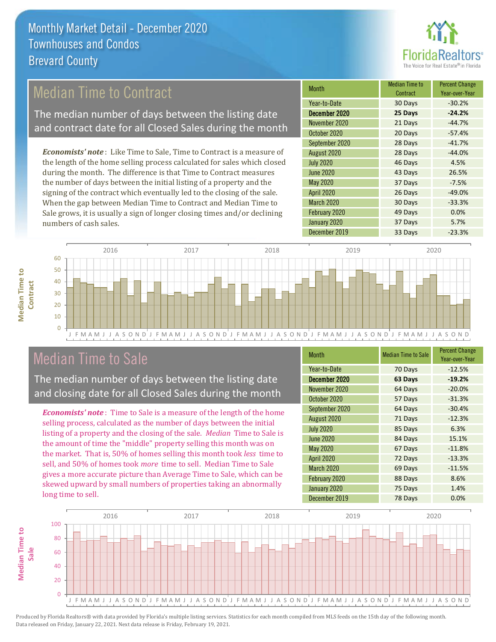

## Median Time to Contract

The median number of days between the listing date and contract date for all Closed Sales during the month

*Economists' note* : Like Time to Sale, Time to Contract is a measure of the length of the home selling process calculated for sales which closed during the month. The difference is that Time to Contract measures the number of days between the initial listing of a property and the signing of the contract which eventually led to the closing of the sale. When the gap between Median Time to Contract and Median Time to Sale grows, it is usually a sign of longer closing times and/or declining numbers of cash sales.

| <b>Month</b>      | <b>Median Time to</b><br>Contract | <b>Percent Change</b><br>Year-over-Year |
|-------------------|-----------------------------------|-----------------------------------------|
| Year-to-Date      | 30 Days                           | $-30.2%$                                |
| December 2020     | 25 Days                           | $-24.2%$                                |
| November 2020     | 21 Days                           | $-44.7%$                                |
| October 2020      | 20 Days                           | $-57.4%$                                |
| September 2020    | 28 Days                           | $-41.7%$                                |
| August 2020       | 28 Days                           | $-44.0%$                                |
| <b>July 2020</b>  | 46 Days                           | 4.5%                                    |
| <b>June 2020</b>  | 43 Days                           | 26.5%                                   |
| <b>May 2020</b>   | 37 Days                           | $-7.5%$                                 |
| <b>April 2020</b> | 26 Days                           | $-49.0%$                                |
| <b>March 2020</b> | 30 Days                           | $-33.3%$                                |
| February 2020     | 49 Days                           | 0.0%                                    |
| January 2020      | 37 Days                           | 5.7%                                    |
| December 2019     | 33 Days                           | $-23.3%$                                |



## Median Time to Sale

**Median Time to** 

**Median Time to** 

The median number of days between the listing date and closing date for all Closed Sales during the month

*Economists' note* : Time to Sale is a measure of the length of the home selling process, calculated as the number of days between the initial listing of a property and the closing of the sale. *Median* Time to Sale is the amount of time the "middle" property selling this month was on the market. That is, 50% of homes selling this month took *less* time to sell, and 50% of homes took *more* time to sell. Median Time to Sale gives a more accurate picture than Average Time to Sale, which can be skewed upward by small numbers of properties taking an abnormally long time to sell.

| <b>Month</b>      | <b>Median Time to Sale</b> | <b>Percent Change</b><br>Year-over-Year |
|-------------------|----------------------------|-----------------------------------------|
| Year-to-Date      | 70 Days                    | $-12.5%$                                |
| December 2020     | 63 Days                    | $-19.2%$                                |
| November 2020     | 64 Days                    | $-20.0%$                                |
| October 2020      | 57 Days                    | $-31.3%$                                |
| September 2020    | 64 Days                    | $-30.4%$                                |
| August 2020       | 71 Days                    | $-12.3%$                                |
| <b>July 2020</b>  | 85 Days                    | 6.3%                                    |
| June 2020         | 84 Days                    | 15.1%                                   |
| <b>May 2020</b>   | 67 Days                    | $-11.8%$                                |
| <b>April 2020</b> | 72 Days                    | $-13.3%$                                |
| <b>March 2020</b> | 69 Days                    | $-11.5%$                                |
| February 2020     | 88 Days                    | 8.6%                                    |
| January 2020      | 75 Days                    | 1.4%                                    |
| December 2019     | 78 Days                    | 0.0%                                    |

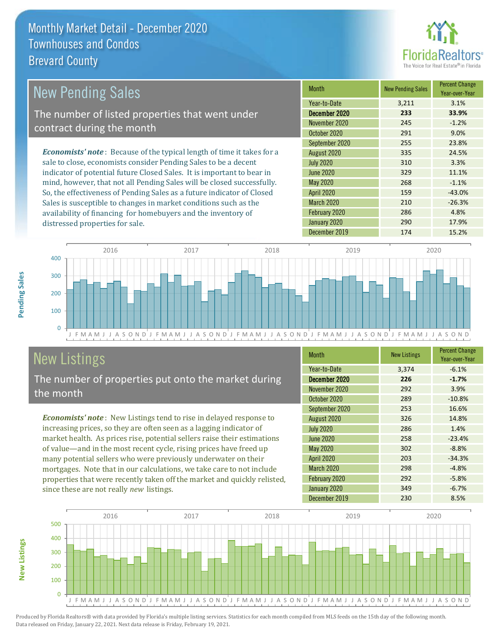

#### *Economists' note* : Because of the typical length of time it takes for a sale to close, economists consider Pending Sales to be a decent indicator of potential future Closed Sales. It is important to bear in mind, however, that not all Pending Sales will be closed successfully. So, the effectiveness of Pending Sales as a future indicator of Closed Sales is susceptible to changes in market conditions such as the Month New Pending Sales Percent Change Year-over-Year December 2020 **233 33.9%** Year-to-Date 3,211 3.1% May 2020 268 -1.1% November 2020 **245** -1.2% October 2020 291 291 9.0% July 2020 310 310 3.3% June 2020 329 329 11.1% September 2020 255 23.8% August 2020 335 24.5% April 2020 159 159 -43.0% March 2020 210 210 -26.3% New Pending Sales The number of listed properties that went under contract during the month



# New Listings

distressed properties for sale.

The number of properties put onto the market during the month

availability of financing for homebuyers and the inventory of

*Economists' note* : New Listings tend to rise in delayed response to increasing prices, so they are often seen as a lagging indicator of market health. As prices rise, potential sellers raise their estimations of value—and in the most recent cycle, rising prices have freed up many potential sellers who were previously underwater on their mortgages. Note that in our calculations, we take care to not include properties that were recently taken off the market and quickly relisted, since these are not really *new* listings.

| <b>Month</b>      | <b>New Listings</b> | <b>Percent Change</b><br>Year-over-Year |
|-------------------|---------------------|-----------------------------------------|
| Year-to-Date      | 3,374               | $-6.1%$                                 |
| December 2020     | 226                 | $-1.7%$                                 |
| November 2020     | 292                 | 3.9%                                    |
| October 2020      | 289                 | $-10.8%$                                |
| September 2020    | 253                 | 16.6%                                   |
| August 2020       | 326                 | 14.8%                                   |
| <b>July 2020</b>  | 286                 | 1.4%                                    |
| <b>June 2020</b>  | 258                 | $-23.4%$                                |
| May 2020          | 302                 | $-8.8%$                                 |
| <b>April 2020</b> | 203                 | $-34.3%$                                |
| March 2020        | 298                 | $-4.8%$                                 |
| February 2020     | 292                 | $-5.8%$                                 |
| January 2020      | 349                 | $-6.7%$                                 |
| December 2019     | 230                 | 8.5%                                    |

February 2020 286 4.8% January 2020 290 17.9%



Produced by Florida Realtors® with data provided by Florida's multiple listing services. Statistics for each month compiled from MLS feeds on the 15th day of the following month. Data released on Friday, January 22, 2021. Next data release is Friday, February 19, 2021.

**New Listings**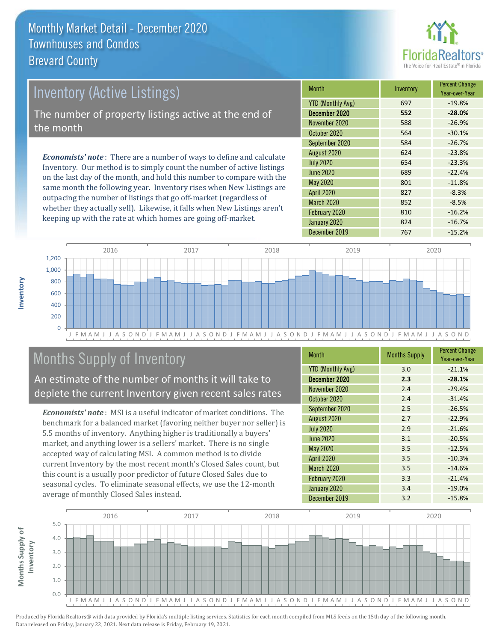

# Inventory (Active Listings) The number of property listings active at the end of

*Economists' note* : There are a number of ways to define and calculate Inventory. Our method is to simply count the number of active listings on the last day of the month, and hold this number to compare with the same month the following year. Inventory rises when New Listings are outpacing the number of listings that go off-market (regardless of whether they actually sell). Likewise, it falls when New Listings aren't keeping up with the rate at which homes are going off-market.

| <b>Month</b>             | Inventory | <b>Percent Change</b><br>Year-over-Year |
|--------------------------|-----------|-----------------------------------------|
| <b>YTD (Monthly Avg)</b> | 697       | $-19.8%$                                |
| December 2020            | 552       | $-28.0%$                                |
| November 2020            | 588       | $-26.9%$                                |
| October 2020             | 564       | $-30.1%$                                |
| September 2020           | 584       | $-26.7%$                                |
| August 2020              | 624       | $-23.8%$                                |
| <b>July 2020</b>         | 654       | $-23.3%$                                |
| <b>June 2020</b>         | 689       | $-22.4%$                                |
| May 2020                 | 801       | $-11.8%$                                |
| <b>April 2020</b>        | 827       | $-8.3%$                                 |
| March 2020               | 852       | $-8.5%$                                 |
| February 2020            | 810       | $-16.2%$                                |
| January 2020             | 824       | $-16.7%$                                |
| December 2019            | 767       | $-15.2%$                                |



# Months Supply of Inventory

An estimate of the number of months it will take to deplete the current Inventory given recent sales rates

*Economists' note* : MSI is a useful indicator of market conditions. The benchmark for a balanced market (favoring neither buyer nor seller) is 5.5 months of inventory. Anything higher is traditionally a buyers' market, and anything lower is a sellers' market. There is no single accepted way of calculating MSI. A common method is to divide current Inventory by the most recent month's Closed Sales count, but this count is a usually poor predictor of future Closed Sales due to seasonal cycles. To eliminate seasonal effects, we use the 12-month average of monthly Closed Sales instead.

| <b>Month</b>             | <b>Months Supply</b> | <b>Percent Change</b><br>Year-over-Year |
|--------------------------|----------------------|-----------------------------------------|
| <b>YTD (Monthly Avg)</b> | 3.0                  | $-21.1%$                                |
| December 2020            | 2.3                  | $-28.1%$                                |
| November 2020            | 2.4                  | $-29.4%$                                |
| October 2020             | 2.4                  | $-31.4%$                                |
| September 2020           | 2.5                  | $-26.5%$                                |
| August 2020              | 2.7                  | $-22.9%$                                |
| <b>July 2020</b>         | 2.9                  | $-21.6%$                                |
| <b>June 2020</b>         | 3.1                  | $-20.5%$                                |
| <b>May 2020</b>          | 3.5                  | $-12.5%$                                |
| <b>April 2020</b>        | 3.5                  | $-10.3%$                                |
| March 2020               | 3.5                  | $-14.6%$                                |
| February 2020            | 3.3                  | $-21.4%$                                |
| January 2020             | 3.4                  | $-19.0%$                                |
| December 2019            | 3.2                  | $-15.8%$                                |



Produced by Florida Realtors® with data provided by Florida's multiple listing services. Statistics for each month compiled from MLS feeds on the 15th day of the following month. Data released on Friday, January 22, 2021. Next data release is Friday, February 19, 2021.

the month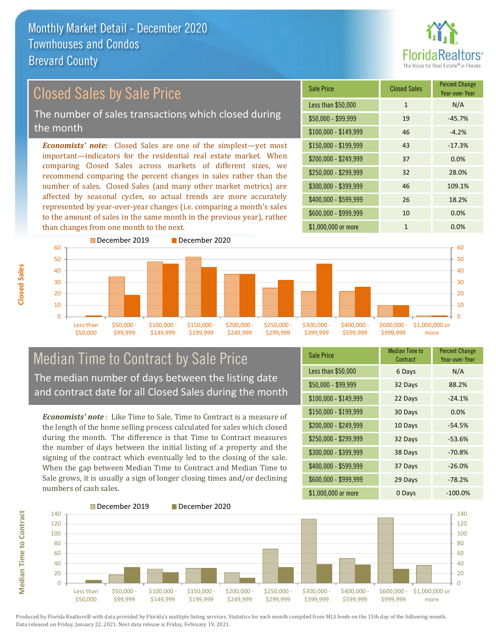

#### *Economists' note:* Closed Sales are one of the simplest—yet most important—indicators for the residential real estate market. When comparing Closed Sales across markets of different sizes, we recommend comparing the percent changes in sales rather than the number of sales. Closed Sales (and many other market metrics) are affected by seasonal cycles, so actual trends are more accurately represented by year-over-year changes (i.e. comparing a month's sales to the amount of sales in the same month in the previous year), rather than changes from one month to the next. \$1,000,000 or more 1 0.0% \$250,000 - \$299,999 32 28.0% \$300,000 - \$399,999 46 109.1% \$400,000 - \$599,999 26 18.2% \$600,000 - \$999,999 10 0.0% \$150,000 - \$199,999 43 -17.3% \$200,000 - \$249,999 37 0.0%  $$100,000 - $149,999$  46 -4.2% Sale Price Closed Sales Percent Change Year-over-Year Less than \$50,000 1 1 N/A  $$50,000 - $99,999$  19  $-45.7\%$ December 2019 December 2020 60 Closed Sales by Sale Price The number of sales transactions which closed during the month



## Median Time to Contract by Sale Price The median number of days between the listing date and contract date for all Closed Sales during the month

*Economists' note* : Like Time to Sale, Time to Contract is a measure of the length of the home selling process calculated for sales which closed during the month. The difference is that Time to Contract measures the number of days between the initial listing of a property and the signing of the contract which eventually led to the closing of the sale. When the gap between Median Time to Contract and Median Time to Sale grows, it is usually a sign of longer closing times and/or declining numbers of cash sales.

| <b>Sale Price</b>     | <b>Median Time to</b><br>Contract | <b>Percent Change</b><br>Year-over-Year |
|-----------------------|-----------------------------------|-----------------------------------------|
| Less than \$50,000    | 6 Days                            | N/A                                     |
| \$50,000 - \$99,999   | 32 Days                           | 88.2%                                   |
| \$100,000 - \$149,999 | 22 Days                           | $-24.1%$                                |
| $$150,000 - $199,999$ | 30 Days                           | 0.0%                                    |
| \$200,000 - \$249,999 | 10 Days                           | $-54.5%$                                |
| \$250,000 - \$299,999 | 32 Days                           | $-53.6%$                                |
| \$300,000 - \$399,999 | 38 Days                           | $-70.8%$                                |
| \$400,000 - \$599,999 | 37 Days                           | $-26.0%$                                |
| \$600,000 - \$999,999 | 29 Days                           | $-78.2%$                                |
| \$1,000,000 or more   | 0 Days                            | $-100.0\%$                              |

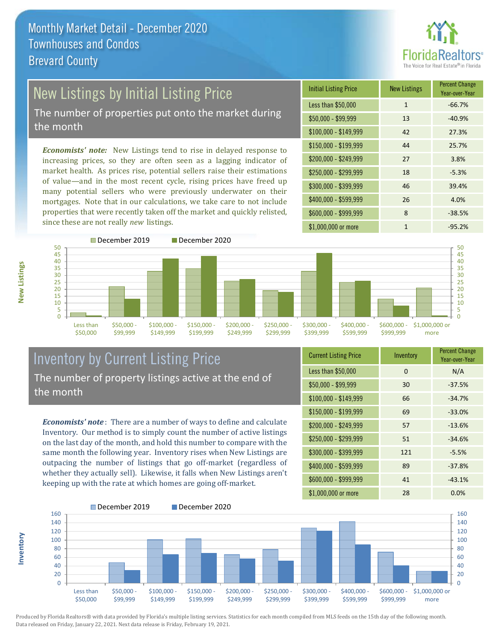

# New Listings by Initial Listing Price

The number of properties put onto the market during the month

*Economists' note:* New Listings tend to rise in delayed response to increasing prices, so they are often seen as a lagging indicator of market health. As prices rise, potential sellers raise their estimations of value—and in the most recent cycle, rising prices have freed up many potential sellers who were previously underwater on their mortgages. Note that in our calculations, we take care to not include properties that were recently taken off the market and quickly relisted, since these are not really *new* listings.

| <b>Initial Listing Price</b> | <b>New Listings</b> | <b>Percent Change</b><br>Year-over-Year |
|------------------------------|---------------------|-----------------------------------------|
| Less than \$50,000           | $\mathbf{1}$        | $-66.7%$                                |
| $$50,000 - $99,999$          | 13                  | $-40.9%$                                |
| $$100,000 - $149,999$        | 42                  | 27.3%                                   |
| $$150,000 - $199,999$        | 44                  | 25.7%                                   |
| \$200,000 - \$249,999        | 27                  | 3.8%                                    |
| \$250,000 - \$299,999        | 18                  | $-5.3%$                                 |
| \$300,000 - \$399,999        | 46                  | 39.4%                                   |
| \$400,000 - \$599,999        | 26                  | 4.0%                                    |
| \$600,000 - \$999,999        | 8                   | $-38.5%$                                |
| \$1,000,000 or more          | 1                   | $-95.2%$                                |



**Inventory**



## Inventory by Current Listing Price The number of property listings active at the end of the month

*Economists' note* : There are a number of ways to define and calculate Inventory. Our method is to simply count the number of active listings on the last day of the month, and hold this number to compare with the same month the following year. Inventory rises when New Listings are outpacing the number of listings that go off-market (regardless of whether they actually sell). Likewise, it falls when New Listings aren't keeping up with the rate at which homes are going off-market.

| <b>Current Listing Price</b> | Inventory | <b>Percent Change</b><br>Year-over-Year |
|------------------------------|-----------|-----------------------------------------|
| Less than \$50,000           | 0         | N/A                                     |
| $$50,000 - $99,999$          | 30        | $-37.5%$                                |
| $$100,000 - $149,999$        | 66        | $-34.7%$                                |
| $$150,000 - $199,999$        | 69        | $-33.0%$                                |
| \$200,000 - \$249,999        | 57        | $-13.6%$                                |
| \$250,000 - \$299,999        | 51        | $-34.6%$                                |
| \$300,000 - \$399,999        | 121       | $-5.5%$                                 |
| \$400,000 - \$599,999        | 89        | $-37.8%$                                |
| \$600,000 - \$999,999        | 41        | $-43.1%$                                |
| \$1,000,000 or more          | 28        | $0.0\%$                                 |